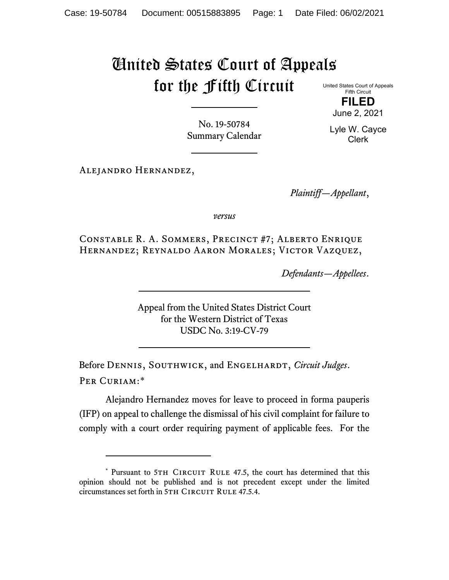## United States Court of Appeals for the Fifth Circuit

United States Court of Appeals Fifth Circuit

**FILED** June 2, 2021

No. 19-50784 Summary Calendar

Lyle W. Cayce Clerk

Alejandro Hernandez,

*Plaintiff—Appellant*,

*versus*

Constable R. A. Sommers, Precinct #7; Alberto Enrique Hernandez; Reynaldo Aaron Morales; Victor Vazquez,

*Defendants—Appellees*.

Appeal from the United States District Court for the Western District of Texas USDC No. 3:19-CV-79

Before DENNIS, SOUTHWICK, and ENGELHARDT, *Circuit Judges*. Per Curiam:[\\*](#page-0-0)

Alejandro Hernandez moves for leave to proceed in forma pauperis (IFP) on appeal to challenge the dismissal of his civil complaint for failure to comply with a court order requiring payment of applicable fees. For the

<span id="page-0-0"></span><sup>\*</sup> Pursuant to 5TH CIRCUIT RULE 47.5, the court has determined that this opinion should not be published and is not precedent except under the limited circumstances set forth in 5TH CIRCUIT RULE 47.5.4.